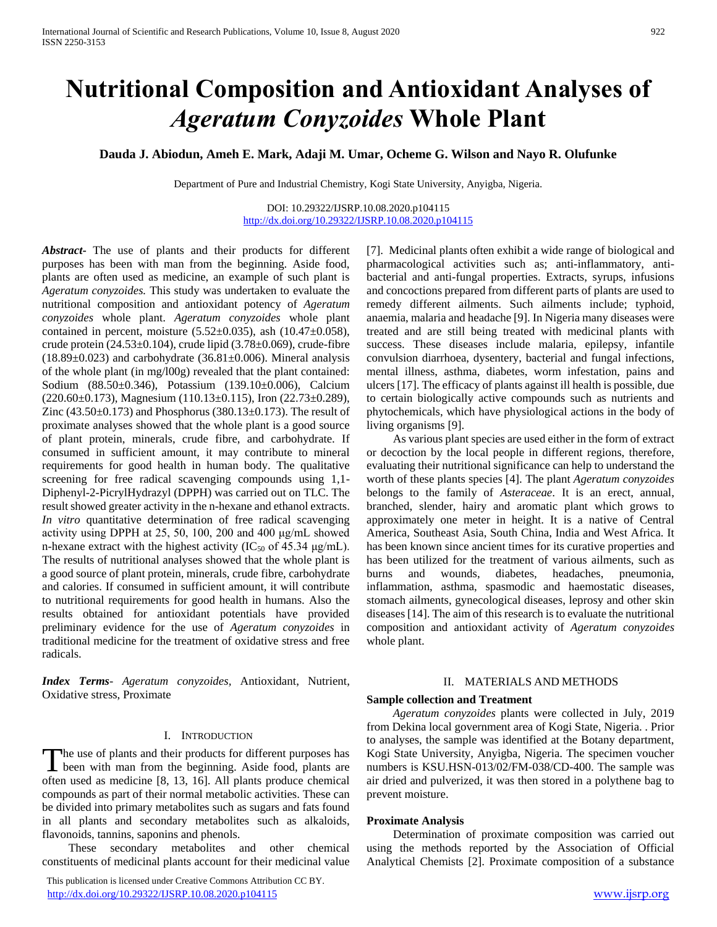# **Nutritional Composition and Antioxidant Analyses of**  *Ageratum Conyzoides* **Whole Plant**

**Dauda J. Abiodun, Ameh E. Mark, Adaji M. Umar, Ocheme G. Wilson and Nayo R. Olufunke**

Department of Pure and Industrial Chemistry, Kogi State University, Anyigba, Nigeria.

DOI: 10.29322/IJSRP.10.08.2020.p104115 <http://dx.doi.org/10.29322/IJSRP.10.08.2020.p104115>

*Abstract***-** The use of plants and their products for different purposes has been with man from the beginning. Aside food, plants are often used as medicine, an example of such plant is *Ageratum conyzoides.* This study was undertaken to evaluate the nutritional composition and antioxidant potency of *Ageratum conyzoides* whole plant. *Ageratum conyzoides* whole plant contained in percent, moisture  $(5.52 \pm 0.035)$ , ash  $(10.47 \pm 0.058)$ , crude protein (24.53±0.104), crude lipid (3.78±0.069), crude-fibre  $(18.89\pm0.023)$  and carbohydrate  $(36.81\pm0.006)$ . Mineral analysis of the whole plant (in mg/l00g) revealed that the plant contained: Sodium (88.50±0.346), Potassium (139.10±0.006), Calcium  $(220.60\pm0.173)$ , Magnesium  $(110.13\pm0.115)$ , Iron  $(22.73\pm0.289)$ , Zinc  $(43.50\pm0.173)$  and Phosphorus  $(380.13\pm0.173)$ . The result of proximate analyses showed that the whole plant is a good source of plant protein, minerals, crude fibre, and carbohydrate. If consumed in sufficient amount, it may contribute to mineral requirements for good health in human body. The qualitative screening for free radical scavenging compounds using 1,1- Diphenyl-2-PicrylHydrazyl (DPPH) was carried out on TLC. The result showed greater activity in the n-hexane and ethanol extracts. *In vitro* quantitative determination of free radical scavenging activity using DPPH at 25, 50, 100, 200 and 400 μg/mL showed n-hexane extract with the highest activity  $(IC_{50}$  of 45.34  $\mu$ g/mL). The results of nutritional analyses showed that the whole plant is a good source of plant protein, minerals, crude fibre, carbohydrate and calories. If consumed in sufficient amount, it will contribute to nutritional requirements for good health in humans. Also the results obtained for antioxidant potentials have provided preliminary evidence for the use of *Ageratum conyzoides* in traditional medicine for the treatment of oxidative stress and free radicals.

*Index Terms*- *Ageratum conyzoides,* Antioxidant, Nutrient, Oxidative stress, Proximate

#### I. INTRODUCTION

he use of plants and their products for different purposes has The use of plants and their products for different purposes has<br>been with man from the beginning. Aside food, plants are often used as medicine [8, 13, 16]. All plants produce chemical compounds as part of their normal metabolic activities. These can be divided into primary metabolites such as sugars and fats found in all plants and secondary metabolites such as alkaloids, flavonoids, tannins, saponins and phenols.

 These secondary metabolites and other chemical constituents of medicinal plants account for their medicinal value

 This publication is licensed under Creative Commons Attribution CC BY. <http://dx.doi.org/10.29322/IJSRP.10.08.2020.p104115> [www.ijsrp.org](http://ijsrp.org/)

[7]. Medicinal plants often exhibit a wide range of biological and pharmacological activities such as; anti-inflammatory, antibacterial and anti-fungal properties. Extracts, syrups, infusions and concoctions prepared from different parts of plants are used to remedy different ailments. Such ailments include; typhoid, anaemia, malaria and headache [9]. In Nigeria many diseases were treated and are still being treated with medicinal plants with success. These diseases include malaria, epilepsy, infantile convulsion diarrhoea, dysentery, bacterial and fungal infections, mental illness, asthma, diabetes, worm infestation, pains and ulcers [17]. The efficacy of plants against ill health is possible, due to certain biologically active compounds such as nutrients and phytochemicals, which have physiological actions in the body of living organisms [9].

 As various plant species are used either in the form of extract or decoction by the local people in different regions, therefore, evaluating their nutritional significance can help to understand the worth of these plants species [4]. The plant *Ageratum conyzoides*  belongs to the family of *Asteraceae*. It is an erect, annual, branched, slender, hairy and aromatic plant which grows to approximately one meter in height. It is a native of Central America, Southeast Asia, South China, India and West Africa. It has been known since ancient times for its curative properties and has been utilized for the treatment of various ailments, such as burns and wounds, diabetes, headaches, pneumonia, inflammation, asthma, spasmodic and haemostatic diseases, stomach ailments, gynecological diseases, leprosy and other skin diseases [14]. The aim of this research is to evaluate the nutritional composition and antioxidant activity of *Ageratum conyzoides* whole plant.

#### II. MATERIALS AND METHODS

#### **Sample collection and Treatment**

 *Ageratum conyzoides* plants were collected in July, 2019 from Dekina local government area of Kogi State, Nigeria. . Prior to analyses, the sample was identified at the Botany department, Kogi State University, Anyigba, Nigeria. The specimen voucher numbers is KSU.HSN-013/02/FM-038/CD-400. The sample was air dried and pulverized, it was then stored in a polythene bag to prevent moisture.

#### **Proximate Analysis**

 Determination of proximate composition was carried out using the methods reported by the Association of Official Analytical Chemists [2]. Proximate composition of a substance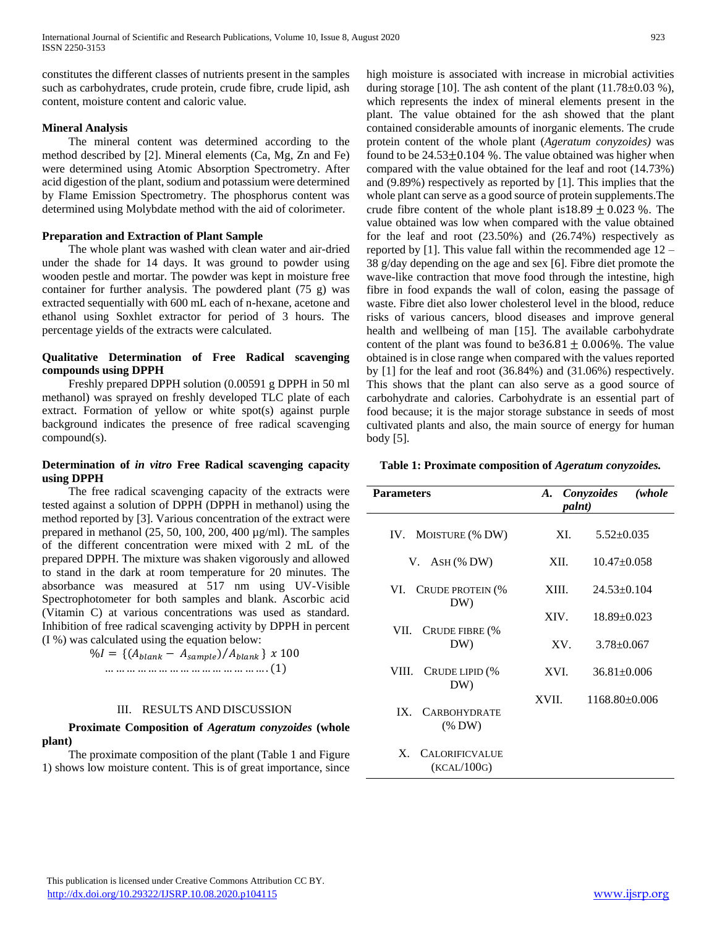constitutes the different classes of nutrients present in the samples such as carbohydrates, crude protein, crude fibre, crude lipid, ash content, moisture content and caloric value.

## **Mineral Analysis**

 The mineral content was determined according to the method described by [2]. Mineral elements (Ca, Mg, Zn and Fe) were determined using Atomic Absorption Spectrometry. After acid digestion of the plant, sodium and potassium were determined by Flame Emission Spectrometry. The phosphorus content was determined using Molybdate method with the aid of colorimeter.

## **Preparation and Extraction of Plant Sample**

 The whole plant was washed with clean water and air-dried under the shade for 14 days. It was ground to powder using wooden pestle and mortar. The powder was kept in moisture free container for further analysis. The powdered plant (75 g) was extracted sequentially with 600 mL each of n-hexane, acetone and ethanol using Soxhlet extractor for period of 3 hours. The percentage yields of the extracts were calculated.

## **Qualitative Determination of Free Radical scavenging compounds using DPPH**

 Freshly prepared DPPH solution (0.00591 g DPPH in 50 ml methanol) was sprayed on freshly developed TLC plate of each extract. Formation of yellow or white spot(s) against purple background indicates the presence of free radical scavenging compound(s).

## **Determination of** *in vitro* **Free Radical scavenging capacity using DPPH**

 The free radical scavenging capacity of the extracts were tested against a solution of DPPH (DPPH in methanol) using the method reported by [3]. Various concentration of the extract were prepared in methanol (25, 50, 100, 200, 400 µg/ml). The samples of the different concentration were mixed with 2 mL of the prepared DPPH. The mixture was shaken vigorously and allowed to stand in the dark at room temperature for 20 minutes. The absorbance was measured at 517 nm using UV-Visible Spectrophotometer for both samples and blank. Ascorbic acid (Vitamin C) at various concentrations was used as standard. Inhibition of free radical scavenging activity by DPPH in percent (I %) was calculated using the equation below:

$$
\%I = \{(A_{blank} - A_{sample}) / A_{blank}\} \times 100
$$
  
.......................................... (1)

## III. RESULTS AND DISCUSSION

## **Proximate Composition of** *Ageratum conyzoides* **(whole plant)**

 The proximate composition of the plant (Table 1 and Figure 1) shows low moisture content. This is of great importance, since high moisture is associated with increase in microbial activities during storage [10]. The ash content of the plant  $(11.78\pm0.03\%)$ , which represents the index of mineral elements present in the plant. The value obtained for the ash showed that the plant contained considerable amounts of inorganic elements. The crude protein content of the whole plant (*Ageratum conyzoides)* was found to be  $24.53\pm0.104$  %. The value obtained was higher when compared with the value obtained for the leaf and root (14.73%) and (9.89%) respectively as reported by [1]. This implies that the whole plant can serve as a good source of protein supplements.The crude fibre content of the whole plant is  $18.89 \pm 0.023$  %. The value obtained was low when compared with the value obtained for the leaf and root (23.50%) and (26.74%) respectively as reported by [1]. This value fall within the recommended age  $12 -$ 38 g/day depending on the age and sex [6]. Fibre diet promote the wave-like contraction that move food through the intestine, high fibre in food expands the wall of colon, easing the passage of waste. Fibre diet also lower cholesterol level in the blood, reduce risks of various cancers, blood diseases and improve general health and wellbeing of man [15]. The available carbohydrate content of the plant was found to be  $36.81 \pm 0.006\%$ . The value obtained is in close range when compared with the values reported by [1] for the leaf and root (36.84%) and (31.06%) respectively. This shows that the plant can also serve as a good source of carbohydrate and calories. Carbohydrate is an essential part of food because; it is the major storage substance in seeds of most cultivated plants and also, the main source of energy for human body [5].

#### **Table 1: Proximate composition of** *Ageratum conyzoides.*

| <b>Parameters</b>                                    | A. Conyzoides<br>palnt) |                   | (whole |
|------------------------------------------------------|-------------------------|-------------------|--------|
| IV. MOISTURE (% DW)                                  | XI.                     | $5.52 \pm 0.035$  |        |
| $V.$ ASH (% DW)                                      | XII.                    | $10.47 \pm 0.058$ |        |
| <b>CRUDE PROTEIN (%</b><br>VI.<br>DW)                | XIII.                   | $24.53 \pm 0.104$ |        |
| VII.<br>CRUDE FIBRE (%                               | XIV.                    | $18.89 \pm 0.023$ |        |
| DW)                                                  | XV.                     | $3.78 \pm 0.067$  |        |
| VIII.<br>CRUDE LIPID (%<br>DW)                       | XVI.                    | $36.81 \pm 0.006$ |        |
| <b>CARBOHYDRATE</b><br>IX.<br>$(\%$ DW)              | XVII.                   | $1168.80\pm0.006$ |        |
| $\mathbf{X}$<br><b>CALORIFICVALUE</b><br>(KCAL/100G) |                         |                   |        |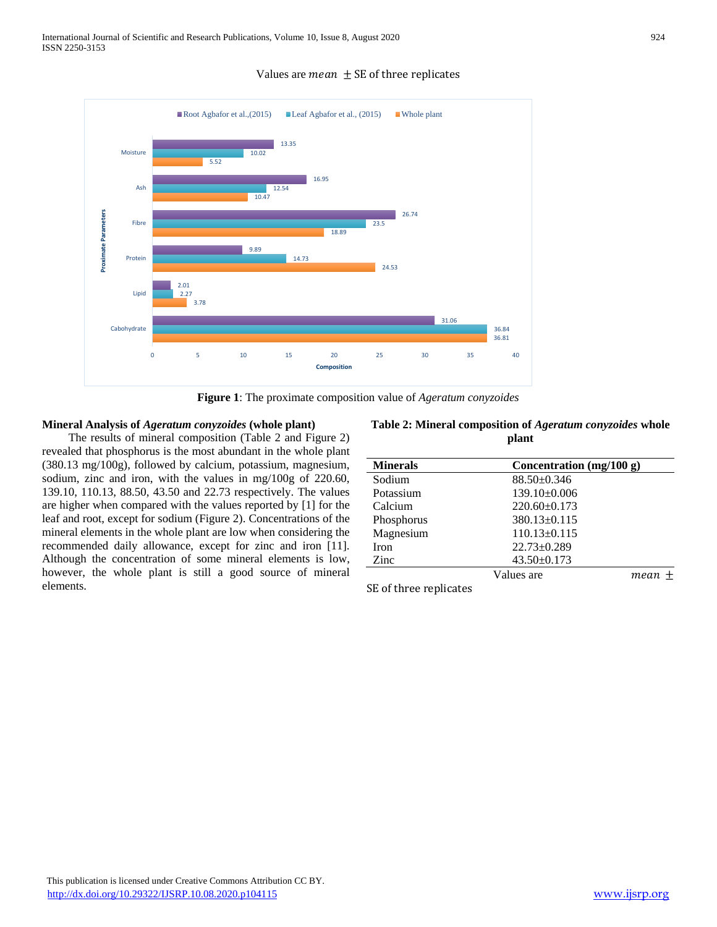

Values are *mean*  $\pm$  SE of three replicates



## **Mineral Analysis of** *Ageratum conyzoides* **(whole plant)**

 The results of mineral composition (Table 2 and Figure 2) revealed that phosphorus is the most abundant in the whole plant (380.13 mg/100g), followed by calcium, potassium, magnesium, sodium, zinc and iron, with the values in mg/100g of 220.60, 139.10, 110.13, 88.50, 43.50 and 22.73 respectively. The values are higher when compared with the values reported by [1] for the leaf and root, except for sodium (Figure 2). Concentrations of the mineral elements in the whole plant are low when considering the recommended daily allowance, except for zinc and iron [11]. Although the concentration of some mineral elements is low, however, the whole plant is still a good source of mineral elements.

| <b>Minerals</b> | Concentration $(mg/100 g)$ |      |
|-----------------|----------------------------|------|
| Sodium          | $88.50 \pm 0.346$          |      |
| Potassium       | $139.10\pm0.006$           |      |
| Calcium         | $220.60 \pm 0.173$         |      |
| Phosphorus      | $380.13 \pm 0.115$         |      |
| Magnesium       | $110.13 \pm 0.115$         |      |
| <b>Iron</b>     | $22.73 \pm 0.289$          |      |
| Zinc            | $43.50 \pm 0.173$          |      |
|                 | Values are                 | mean |
| $ -$            |                            |      |

**Table 2: Mineral composition of** *Ageratum conyzoides* **whole plant**

SE of three replicates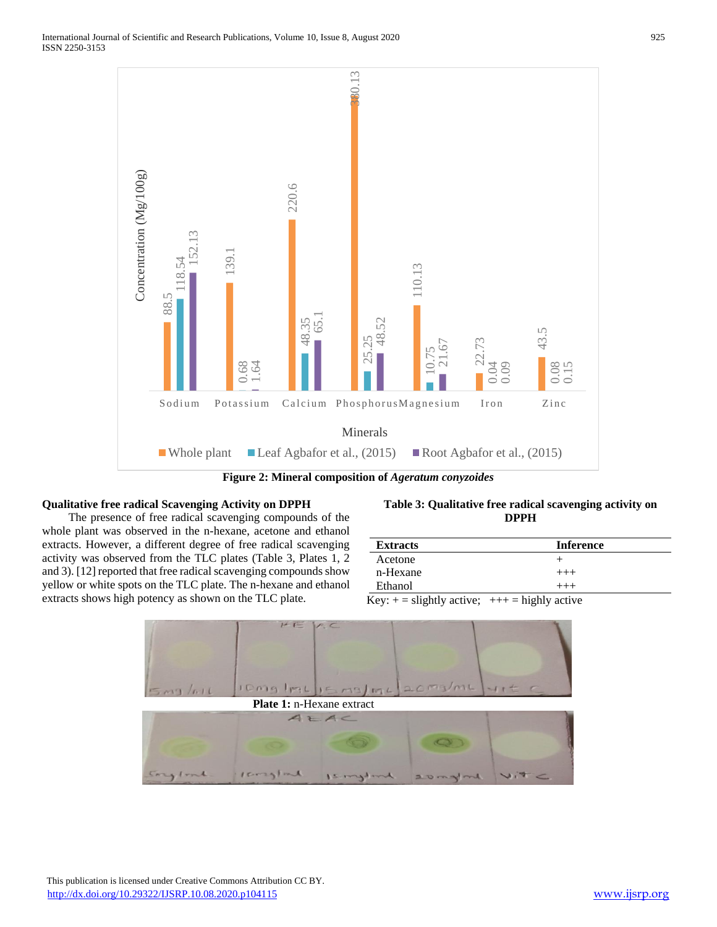

**Figure 2: Mineral composition of** *Ageratum conyzoides*

## **Qualitative free radical Scavenging Activity on DPPH**

 The presence of free radical scavenging compounds of the whole plant was observed in the n-hexane, acetone and ethanol extracts. However, a different degree of free radical scavenging activity was observed from the TLC plates (Table 3, Plates 1, 2 and 3). [12] reported that free radical scavenging compounds show yellow or white spots on the TLC plate. The n-hexane and ethanol extracts shows high potency as shown on the TLC plate.

## **Table 3: Qualitative free radical scavenging activity on DPPH**

| <b>Extracts</b>                                | <b>Inference</b> |
|------------------------------------------------|------------------|
| Acetone                                        |                  |
| n-Hexane                                       | $^{+++}$         |
| Ethanol                                        | $+++$            |
| Key: $+=$ slightly active; $++=$ highly active |                  |

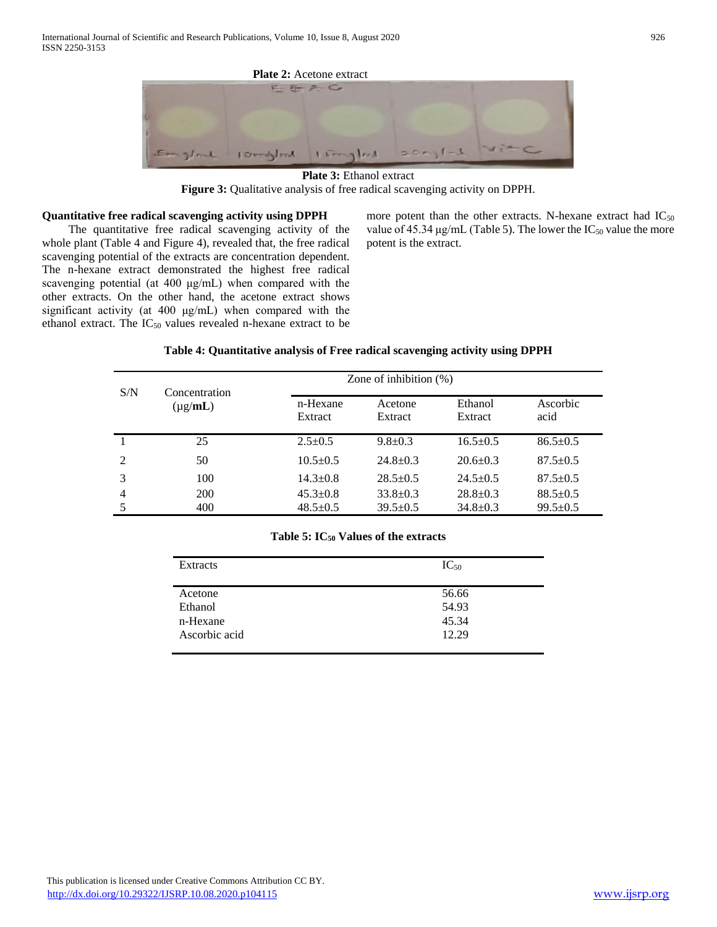

**Plate 3:** Ethanol extract **Figure 3:** Qualitative analysis of free radical scavenging activity on DPPH.

#### **Quantitative free radical scavenging activity using DPPH**

 The quantitative free radical scavenging activity of the whole plant (Table 4 and Figure 4), revealed that, the free radical scavenging potential of the extracts are concentration dependent. The n-hexane extract demonstrated the highest free radical scavenging potential (at 400 μg/mL) when compared with the other extracts. On the other hand, the acetone extract shows significant activity (at 400 μg/mL) when compared with the ethanol extract. The  $IC_{50}$  values revealed n-hexane extract to be more potent than the other extracts. N-hexane extract had  $IC_{50}$ value of 45.34  $\mu$ g/mL (Table 5). The lower the IC<sub>50</sub> value the more potent is the extract.

#### **Table 4: Quantitative analysis of Free radical scavenging activity using DPPH**

| S/N            | Concentration<br>$(\mu g/mL)$ |                     | Zone of inhibition $(\%)$ |                    |                  |  |
|----------------|-------------------------------|---------------------|---------------------------|--------------------|------------------|--|
|                |                               | n-Hexane<br>Extract | Acetone<br>Extract        | Ethanol<br>Extract | Ascorbic<br>acid |  |
|                | 25                            | $2.5 \pm 0.5$       | $9.8 \pm 0.3$             | $16.5 \pm 0.5$     | $86.5 \pm 0.5$   |  |
| 2              | 50                            | $10.5 \pm 0.5$      | $24.8 \pm 0.3$            | $20.6 \pm 0.3$     | $87.5 \pm 0.5$   |  |
|                | 100                           | $14.3 \pm 0.8$      | $28.5 \pm 0.5$            | $24.5 \pm 0.5$     | $87.5 \pm 0.5$   |  |
| $\overline{4}$ | 200                           | $45.3 \pm 0.8$      | $33.8 \pm 0.3$            | $28.8 \pm 0.3$     | $88.5 \pm 0.5$   |  |
|                | 400                           | $48.5 \pm 0.5$      | $39.5 \pm 0.5$            | $34.8 \pm 0.3$     | $99.5 \pm 0.5$   |  |

#### **Table 5: IC<sup>50</sup> Values of the extracts**

| Extracts      | $IC_{50}$ |
|---------------|-----------|
|               |           |
| Acetone       | 56.66     |
| Ethanol       | 54.93     |
| n-Hexane      | 45.34     |
| Ascorbic acid | 12.29     |
|               |           |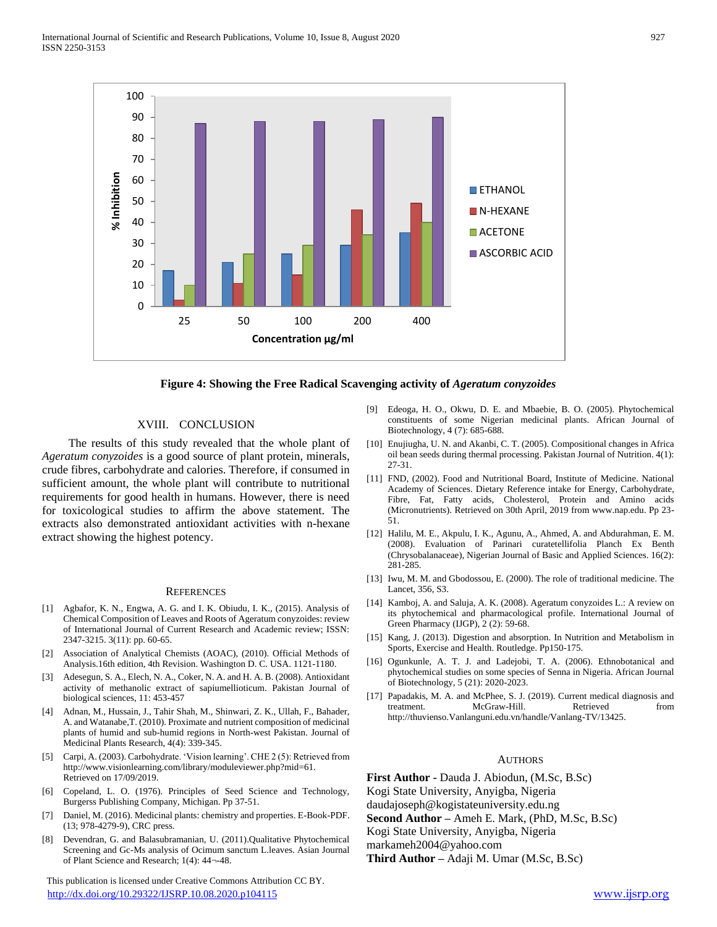

#### **Figure 4: Showing the Free Radical Scavenging activity of** *Ageratum conyzoides*

### XVIII. CONCLUSION

 The results of this study revealed that the whole plant of *Ageratum conyzoides* is a good source of plant protein, minerals, crude fibres, carbohydrate and calories. Therefore, if consumed in sufficient amount, the whole plant will contribute to nutritional requirements for good health in humans. However, there is need for toxicological studies to affirm the above statement. The extracts also demonstrated antioxidant activities with n-hexane extract showing the highest potency.

#### **REFERENCES**

- [1] Agbafor, K. N., Engwa, A. G. and I. K. Obiudu, I. K., (2015). Analysis of Chemical Composition of Leaves and Roots of Ageratum conyzoides: review of International Journal of Current Research and Academic review; ISSN: 2347-3215. 3(11): pp. 60-65.
- [2] Association of Analytical Chemists (AOAC), (2010). Official Methods of Analysis.16th edition, 4th Revision. Washington D. C. USA. 1121-1180.
- [3] Adesegun, S. A., Elech, N. A., Coker, N. A. and H. A. B. (2008). Antioxidant activity of methanolic extract of sapiumellioticum. Pakistan Journal of biological sciences, 11: 453-457
- [4] Adnan, M., Hussain, J., Tahir Shah, M., Shinwari, Z. K., Ullah, F., Bahader, A. and Watanabe,T. (2010). Proximate and nutrient composition of medicinal plants of humid and sub-humid regions in North-west Pakistan. Journal of Medicinal Plants Research, 4(4): 339-345.
- [5] Carpi, A. (2003). Carbohydrate. 'Vision learning'. CHE 2 (5): Retrieved from http://www.visionlearning.com/library/moduleviewer.php?mid=61. Retrieved on 17/09/2019.
- [6] Copeland, L. O. (1976). Principles of Seed Science and Technology, Burgerss Publishing Company, Michigan. Pp 37-51.
- [7] Daniel, M. (2016). Medicinal plants: chemistry and properties. E-Book-PDF. (13; 978-4279-9), CRC press.
- [8] Devendran, G. and Balasubramanian, U. (2011).Qualitative Phytochemical Screening and Gc-Ms analysis of Ocimum sanctum L.leaves. Asian Journal of Plant Science and Research; 1(4): 44¬-48.

 This publication is licensed under Creative Commons Attribution CC BY. <http://dx.doi.org/10.29322/IJSRP.10.08.2020.p104115> [www.ijsrp.org](http://ijsrp.org/)

- [9] Edeoga, H. O., Okwu, D. E. and Mbaebie, B. O. (2005). Phytochemical constituents of some Nigerian medicinal plants. African Journal of Biotechnology, 4 (7): 685-688.
- [10] Enujiugha, U. N. and Akanbi, C. T. (2005). Compositional changes in Africa oil bean seeds during thermal processing. Pakistan Journal of Nutrition. 4(1): 27-31.
- [11] FND, (2002). Food and Nutritional Board, Institute of Medicine. National Academy of Sciences. Dietary Reference intake for Energy, Carbohydrate, Fibre, Fat, Fatty acids, Cholesterol, Protein and Amino acids (Micronutrients). Retrieved on 30th April, 2019 from www.nap.edu. Pp 23- 51.
- [12] Halilu, M. E., Akpulu, I. K., Agunu, A., Ahmed, A. and Abdurahman, E. M. (2008). Evaluation of Parinari curatetellifolia Planch Ex Benth (Chrysobalanaceae), Nigerian Journal of Basic and Applied Sciences. 16(2): 281-285.
- [13] Iwu, M. M. and Gbodossou, E. (2000). The role of traditional medicine. The Lancet, 356, S3.
- [14] Kamboj, A. and Saluja, A. K. (2008). Ageratum conyzoides L.: A review on its phytochemical and pharmacological profile. International Journal of Green Pharmacy (IJGP), 2 (2): 59-68.
- [15] Kang, J. (2013). Digestion and absorption. In Nutrition and Metabolism in Sports, Exercise and Health. Routledge. Pp150-175.
- [16] Ogunkunle, A. T. J. and Ladejobi, T. A. (2006). Ethnobotanical and phytochemical studies on some species of Senna in Nigeria. African Journal of Biotechnology, 5 (21): 2020-2023.
- [17] Papadakis, M. A. and McPhee, S. J. (2019). Current medical diagnosis and treatment. McGraw-Hill. Retrieved from http://thuvienso.Vanlanguni.edu.vn/handle/Vanlang-TV/13425.

#### AUTHORS

**First Author -** Dauda J. Abiodun, (M.Sc, B.Sc) Kogi State University, Anyigba, Nigeria

daudajoseph@kogistateuniversity.edu.ng

**Second Author –** Ameh E. Mark, (PhD, M.Sc, B.Sc)

Kogi State University, Anyigba, Nigeria

markameh2004@yahoo.com

**Third Author –** Adaji M. Umar (M.Sc, B.Sc)